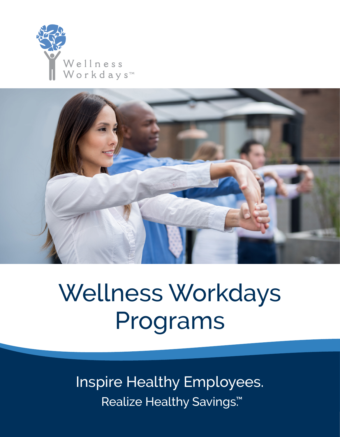



# Wellness Workdays Programs

Inspire Healthy Employees. Realize Healthy Savings.<sup>™</sup>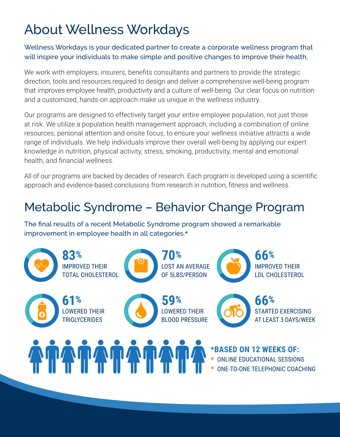# About Wellness Workdays

Wellness Workdays is your dedicated partner to create a corporate wellness program that will inspire your individuals to make simple and positive changes to improve their health.

We work with employers, insurers, benefits consultants and partners to provide the strategic direction, tools and resources required to design and deliver a comprehensive well-being program that improves employee health, productivity and a culture of well-being. Our clear focus on nutrition and a customized, hands-on approach make us unique in the wellness industry.

Our programs are designed to effectively target your entire employee population, not just those at risk. We utilize a population health management approach, including a combination of online resources, personal attention and onsite focus, to ensure your wellness initiative attracts a wide range of individuals. We help individuals improve their overall well-being by applying our expert knowledge in nutrition, physical activity, stress, smoking, productivity, mental and emotional health, and financial wellness.

All of our programs are backed by decades of research. Each program is developed using a scientific approach and evidence-based conclusions from research in nutrition, fitness and wellness.

# Metabolic Syndrome – Behavior Change Program

The final results of a recent Metabolic Syndrome program showed a remarkable improvement in employee health in all categories.\*

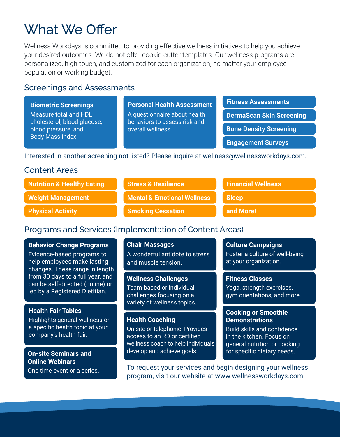# What We Offer

Wellness Workdays is committed to providing effective wellness initiatives to help you achieve your desired outcomes. We do not offer cookie-cutter templates. Our wellness programs are personalized, high-touch, and customized for each organization, no matter your employee population or working budget.

### Screenings and Assessments

| <b>Biometric Screenings</b>                                                                     | <b>Personal Health Assessment</b>                                                 | <b>Fitness Assessments</b>      |  |
|-------------------------------------------------------------------------------------------------|-----------------------------------------------------------------------------------|---------------------------------|--|
| Measure total and HDL<br>cholesterol, blood glucose,<br>blood pressure, and<br>Body Mass Index. | A questionnaire about health<br>behaviors to assess risk and<br>overall wellness. | <b>DermaScan Skin Screening</b> |  |
|                                                                                                 |                                                                                   | <b>Bone Density Screening</b>   |  |
|                                                                                                 |                                                                                   | <b>Engagement Surveys</b>       |  |
| Interested in another screening not listed? Please inquire at wellness@wellnessworkdays.com.    |                                                                                   |                                 |  |

### Content Areas

| <b>Nutrition &amp; Healthy Eating</b> | <b>Stress &amp; Resilience</b>         | <b>Financial Wellness</b> |
|---------------------------------------|----------------------------------------|---------------------------|
| <b>Weight Management</b>              | <b>Mental &amp; Emotional Wellness</b> | <b>Sleep</b>              |
| <b>Physical Activity</b>              | Smoking Cessation                      | and More!                 |

### Programs and Services (Implementation of Content Areas)

**Behavior Change Programs**  Evidence-based programs to help employees make lasting changes. These range in length from 30 days to a full year, and can be self-directed (online) or led by a Registered Dietitian.

#### **Health Fair Tables**

Highlights general wellness or a specific health topic at your company's health fair.

**On-site Seminars and Online Webinars** One time event or a series. **Chair Massages** A wonderful antidote to stress and muscle tension.

**Wellness Challenges** Team-based or individual challenges focusing on a variety of wellness topics.

#### **Health Coaching**

On-site or telephonic. Provides access to an RD or certified wellness coach to help individuals develop and achieve goals.

**Culture Campaigns** Foster a culture of well-being

at your organization.

**Fitness Classes**  Yoga, strength exercises, gym orientations, and more.

#### **Cooking or Smoothie Demonstrations**

Build skills and confidence in the kitchen. Focus on general nutrition or cooking for specific dietary needs.

To request your services and begin designing your wellness program, visit our website at www.wellnessworkdays.com.